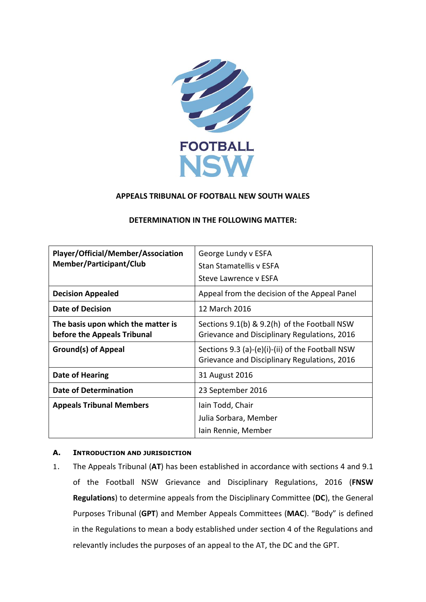

# **APPEALS TRIBUNAL OF FOOTBALL NEW SOUTH WALES**

| Player/Official/Member/Association<br>Member/Participant/Club     | George Lundy v ESFA<br><b>Stan Stamatellis v ESFA</b><br>Steve Lawrence y ESFA                   |
|-------------------------------------------------------------------|--------------------------------------------------------------------------------------------------|
| <b>Decision Appealed</b>                                          | Appeal from the decision of the Appeal Panel                                                     |
| <b>Date of Decision</b>                                           | 12 March 2016                                                                                    |
| The basis upon which the matter is<br>before the Appeals Tribunal | Sections 9.1(b) & 9.2(h) of the Football NSW<br>Grievance and Disciplinary Regulations, 2016     |
| <b>Ground(s) of Appeal</b>                                        | Sections 9.3 (a)-(e)(i)-(ii) of the Football NSW<br>Grievance and Disciplinary Regulations, 2016 |
| <b>Date of Hearing</b>                                            | 31 August 2016                                                                                   |
| <b>Date of Determination</b>                                      | 23 September 2016                                                                                |
| <b>Appeals Tribunal Members</b>                                   | Iain Todd, Chair                                                                                 |
|                                                                   | Julia Sorbara, Member<br>Iain Rennie, Member                                                     |

## **DETERMINATION IN THE FOLLOWING MATTER:**

### **A. INTRODUCTION AND JURISDICTION**

1. The Appeals Tribunal (**AT**) has been established in accordance with sections 4 and 9.1 of the Football NSW Grievance and Disciplinary Regulations, 2016 (**FNSW Regulations**) to determine appeals from the Disciplinary Committee (**DC**), the General Purposes Tribunal (**GPT**) and Member Appeals Committees (**MAC**). "Body" is defined in the Regulations to mean a body established under section 4 of the Regulations and relevantly includes the purposes of an appeal to the AT, the DC and the GPT.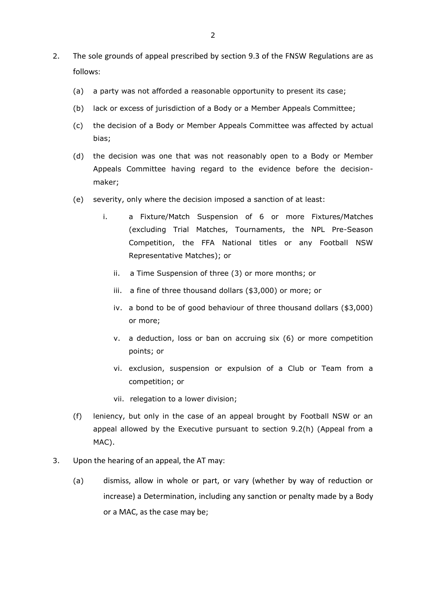- 2. The sole grounds of appeal prescribed by section 9.3 of the FNSW Regulations are as follows:
	- (a) a party was not afforded a reasonable opportunity to present its case;
	- (b) lack or excess of jurisdiction of a Body or a Member Appeals Committee;
	- (c) the decision of a Body or Member Appeals Committee was affected by actual bias;
	- (d) the decision was one that was not reasonably open to a Body or Member Appeals Committee having regard to the evidence before the decisionmaker;
	- (e) severity, only where the decision imposed a sanction of at least:
		- i. a Fixture/Match Suspension of 6 or more Fixtures/Matches (excluding Trial Matches, Tournaments, the NPL Pre-Season Competition, the FFA National titles or any Football NSW Representative Matches); or
			- ii. a Time Suspension of three (3) or more months; or
			- iii. a fine of three thousand dollars (\$3,000) or more; or
			- iv. a bond to be of good behaviour of three thousand dollars (\$3,000) or more;
			- v. a deduction, loss or ban on accruing six (6) or more competition points; or
			- vi. exclusion, suspension or expulsion of a Club or Team from a competition; or
			- vii. relegation to a lower division;
	- (f) leniency, but only in the case of an appeal brought by Football NSW or an appeal allowed by the Executive pursuant to section 9.2(h) (Appeal from a MAC).
- 3. Upon the hearing of an appeal, the AT may:
	- (a) dismiss, allow in whole or part, or vary (whether by way of reduction or increase) a Determination, including any sanction or penalty made by a Body or a MAC, as the case may be;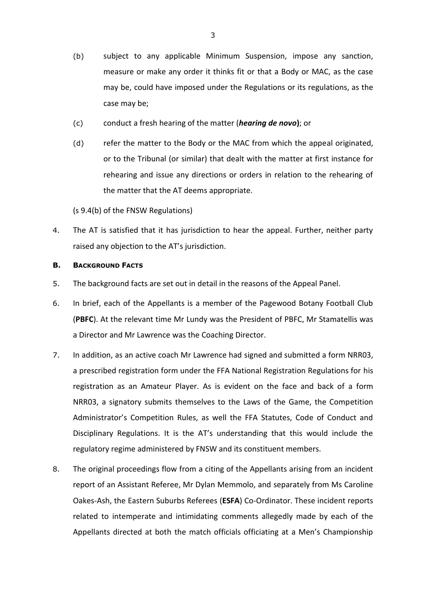- (b) subject to any applicable Minimum Suspension, impose any sanction, measure or make any order it thinks fit or that a Body or MAC, as the case may be, could have imposed under the Regulations or its regulations, as the case may be;
- (c) conduct a fresh hearing of the matter (*hearing de novo***)**; or
- (d) refer the matter to the Body or the MAC from which the appeal originated, or to the Tribunal (or similar) that dealt with the matter at first instance for rehearing and issue any directions or orders in relation to the rehearing of the matter that the AT deems appropriate.

(s 9.4(b) of the FNSW Regulations)

4. The AT is satisfied that it has jurisdiction to hear the appeal. Further, neither party raised any objection to the AT's jurisdiction.

### **B. BACKGROUND FACTS**

- 5. The background facts are set out in detail in the reasons of the Appeal Panel.
- 6. In brief, each of the Appellants is a member of the Pagewood Botany Football Club (**PBFC**). At the relevant time Mr Lundy was the President of PBFC, Mr Stamatellis was a Director and Mr Lawrence was the Coaching Director.
- 7. In addition, as an active coach Mr Lawrence had signed and submitted a form NRR03, a prescribed registration form under the FFA National Registration Regulations for his registration as an Amateur Player. As is evident on the face and back of a form NRR03, a signatory submits themselves to the Laws of the Game, the Competition Administrator's Competition Rules, as well the FFA Statutes, Code of Conduct and Disciplinary Regulations. It is the AT's understanding that this would include the regulatory regime administered by FNSW and its constituent members.
- 8. The original proceedings flow from a citing of the Appellants arising from an incident report of an Assistant Referee, Mr Dylan Memmolo, and separately from Ms Caroline Oakes-Ash, the Eastern Suburbs Referees (**ESFA**) Co-Ordinator. These incident reports related to intemperate and intimidating comments allegedly made by each of the Appellants directed at both the match officials officiating at a Men's Championship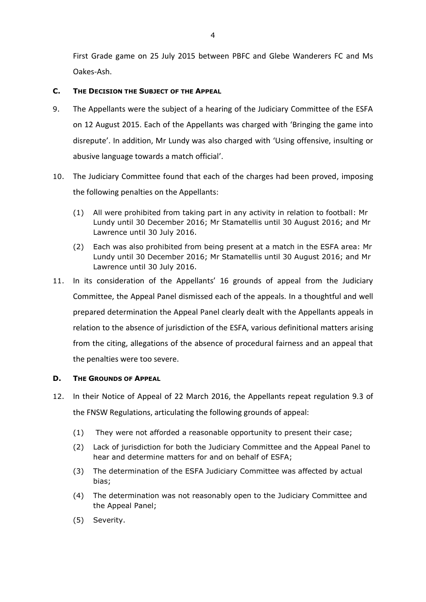First Grade game on 25 July 2015 between PBFC and Glebe Wanderers FC and Ms Oakes-Ash.

## **C. THE DECISION THE SUBJECT OF THE APPEAL**

- 9. The Appellants were the subject of a hearing of the Judiciary Committee of the ESFA on 12 August 2015. Each of the Appellants was charged with 'Bringing the game into disrepute'. In addition, Mr Lundy was also charged with 'Using offensive, insulting or abusive language towards a match official'.
- 10. The Judiciary Committee found that each of the charges had been proved, imposing the following penalties on the Appellants:
	- (1) All were prohibited from taking part in any activity in relation to football: Mr Lundy until 30 December 2016; Mr Stamatellis until 30 August 2016; and Mr Lawrence until 30 July 2016.
	- (2) Each was also prohibited from being present at a match in the ESFA area: Mr Lundy until 30 December 2016; Mr Stamatellis until 30 August 2016; and Mr Lawrence until 30 July 2016.
- 11. In its consideration of the Appellants' 16 grounds of appeal from the Judiciary Committee, the Appeal Panel dismissed each of the appeals. In a thoughtful and well prepared determination the Appeal Panel clearly dealt with the Appellants appeals in relation to the absence of jurisdiction of the ESFA, various definitional matters arising from the citing, allegations of the absence of procedural fairness and an appeal that the penalties were too severe.

## **D. THE GROUNDS OF APPEAL**

- 12. In their Notice of Appeal of 22 March 2016, the Appellants repeat regulation 9.3 of the FNSW Regulations, articulating the following grounds of appeal:
	- (1) They were not afforded a reasonable opportunity to present their case;
	- (2) Lack of jurisdiction for both the Judiciary Committee and the Appeal Panel to hear and determine matters for and on behalf of ESFA;
	- (3) The determination of the ESFA Judiciary Committee was affected by actual bias;
	- (4) The determination was not reasonably open to the Judiciary Committee and the Appeal Panel;
	- (5) Severity.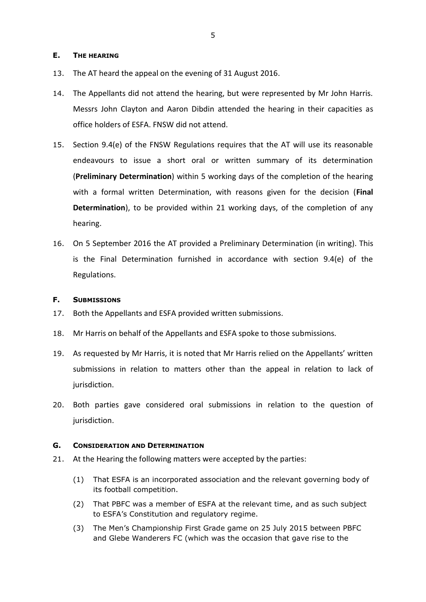### **E. THE HEARING**

- 13. The AT heard the appeal on the evening of 31 August 2016.
- 14. The Appellants did not attend the hearing, but were represented by Mr John Harris. Messrs John Clayton and Aaron Dibdin attended the hearing in their capacities as office holders of ESFA. FNSW did not attend.
- 15. Section 9.4(e) of the FNSW Regulations requires that the AT will use its reasonable endeavours to issue a short oral or written summary of its determination (**Preliminary Determination**) within 5 working days of the completion of the hearing with a formal written Determination, with reasons given for the decision (**Final Determination**), to be provided within 21 working days, of the completion of any hearing.
- 16. On 5 September 2016 the AT provided a Preliminary Determination (in writing). This is the Final Determination furnished in accordance with section 9.4(e) of the Regulations.

## **F. SUBMISSIONS**

- 17. Both the Appellants and ESFA provided written submissions.
- 18. Mr Harris on behalf of the Appellants and ESFA spoke to those submissions.
- 19. As requested by Mr Harris, it is noted that Mr Harris relied on the Appellants' written submissions in relation to matters other than the appeal in relation to lack of jurisdiction.
- 20. Both parties gave considered oral submissions in relation to the question of jurisdiction.

#### **G. CONSIDERATION AND DETERMINATION**

- 21. At the Hearing the following matters were accepted by the parties:
	- (1) That ESFA is an incorporated association and the relevant governing body of its football competition.
	- (2) That PBFC was a member of ESFA at the relevant time, and as such subject to ESFA's Constitution and regulatory regime.
	- (3) The Men's Championship First Grade game on 25 July 2015 between PBFC and Glebe Wanderers FC (which was the occasion that gave rise to the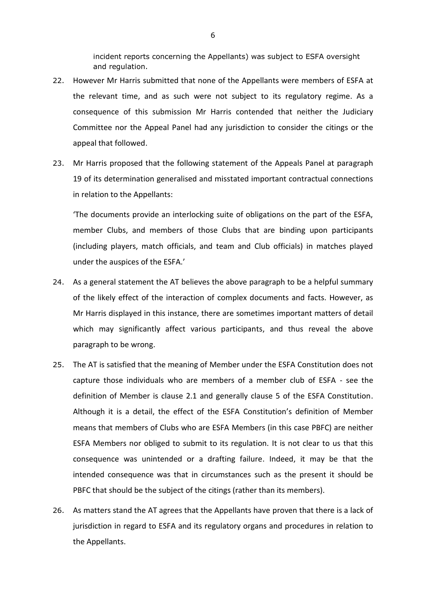incident reports concerning the Appellants) was subject to ESFA oversight and regulation.

- 22. However Mr Harris submitted that none of the Appellants were members of ESFA at the relevant time, and as such were not subject to its regulatory regime. As a consequence of this submission Mr Harris contended that neither the Judiciary Committee nor the Appeal Panel had any jurisdiction to consider the citings or the appeal that followed.
- 23. Mr Harris proposed that the following statement of the Appeals Panel at paragraph 19 of its determination generalised and misstated important contractual connections in relation to the Appellants:

'The documents provide an interlocking suite of obligations on the part of the ESFA, member Clubs, and members of those Clubs that are binding upon participants (including players, match officials, and team and Club officials) in matches played under the auspices of the ESFA.'

- 24. As a general statement the AT believes the above paragraph to be a helpful summary of the likely effect of the interaction of complex documents and facts. However, as Mr Harris displayed in this instance, there are sometimes important matters of detail which may significantly affect various participants, and thus reveal the above paragraph to be wrong.
- 25. The AT is satisfied that the meaning of Member under the ESFA Constitution does not capture those individuals who are members of a member club of ESFA - see the definition of Member is clause 2.1 and generally clause 5 of the ESFA Constitution. Although it is a detail, the effect of the ESFA Constitution's definition of Member means that members of Clubs who are ESFA Members (in this case PBFC) are neither ESFA Members nor obliged to submit to its regulation. It is not clear to us that this consequence was unintended or a drafting failure. Indeed, it may be that the intended consequence was that in circumstances such as the present it should be PBFC that should be the subject of the citings (rather than its members).
- 26. As matters stand the AT agrees that the Appellants have proven that there is a lack of jurisdiction in regard to ESFA and its regulatory organs and procedures in relation to the Appellants.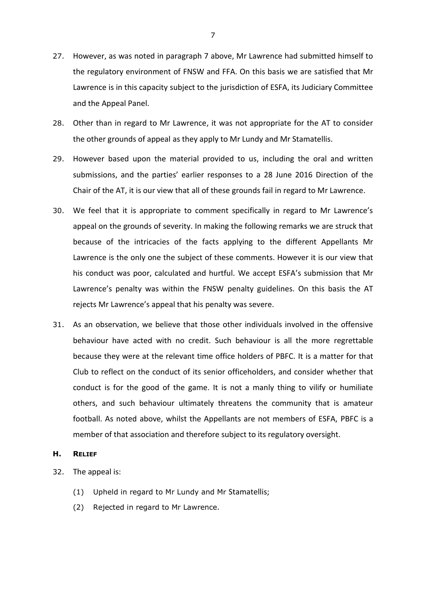- 27. However, as was noted in paragraph 7 above, Mr Lawrence had submitted himself to the regulatory environment of FNSW and FFA. On this basis we are satisfied that Mr Lawrence is in this capacity subject to the jurisdiction of ESFA, its Judiciary Committee and the Appeal Panel.
- 28. Other than in regard to Mr Lawrence, it was not appropriate for the AT to consider the other grounds of appeal as they apply to Mr Lundy and Mr Stamatellis.
- 29. However based upon the material provided to us, including the oral and written submissions, and the parties' earlier responses to a 28 June 2016 Direction of the Chair of the AT, it is our view that all of these grounds fail in regard to Mr Lawrence.
- 30. We feel that it is appropriate to comment specifically in regard to Mr Lawrence's appeal on the grounds of severity. In making the following remarks we are struck that because of the intricacies of the facts applying to the different Appellants Mr Lawrence is the only one the subject of these comments. However it is our view that his conduct was poor, calculated and hurtful. We accept ESFA's submission that Mr Lawrence's penalty was within the FNSW penalty guidelines. On this basis the AT rejects Mr Lawrence's appeal that his penalty was severe.
- 31. As an observation, we believe that those other individuals involved in the offensive behaviour have acted with no credit. Such behaviour is all the more regrettable because they were at the relevant time office holders of PBFC. It is a matter for that Club to reflect on the conduct of its senior officeholders, and consider whether that conduct is for the good of the game. It is not a manly thing to vilify or humiliate others, and such behaviour ultimately threatens the community that is amateur football. As noted above, whilst the Appellants are not members of ESFA, PBFC is a member of that association and therefore subject to its regulatory oversight.

#### **H. RELIEF**

- 32. The appeal is:
	- (1) Upheld in regard to Mr Lundy and Mr Stamatellis;
	- (2) Rejected in regard to Mr Lawrence.